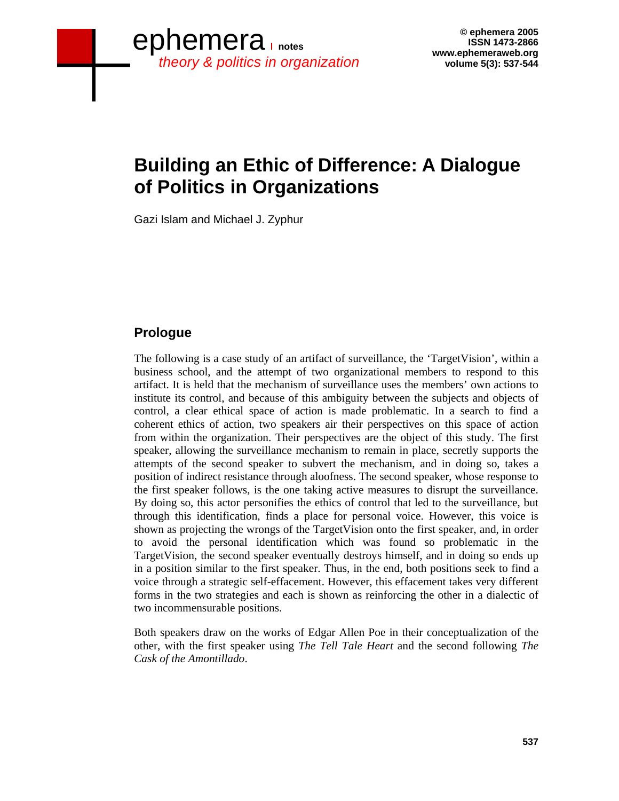# **Building an Ethic of Difference: A Dialogue of Politics in Organizations**

Gazi Islam and Michael J. Zyphur

# **Prologue**

The following is a case study of an artifact of surveillance, the 'TargetVision', within a business school, and the attempt of two organizational members to respond to this artifact. It is held that the mechanism of surveillance uses the members' own actions to institute its control, and because of this ambiguity between the subjects and objects of control, a clear ethical space of action is made problematic. In a search to find a coherent ethics of action, two speakers air their perspectives on this space of action from within the organization. Their perspectives are the object of this study. The first speaker, allowing the surveillance mechanism to remain in place, secretly supports the attempts of the second speaker to subvert the mechanism, and in doing so, takes a position of indirect resistance through aloofness. The second speaker, whose response to the first speaker follows, is the one taking active measures to disrupt the surveillance. By doing so, this actor personifies the ethics of control that led to the surveillance, but through this identification, finds a place for personal voice. However, this voice is shown as projecting the wrongs of the TargetVision onto the first speaker, and, in order to avoid the personal identification which was found so problematic in the TargetVision, the second speaker eventually destroys himself, and in doing so ends up in a position similar to the first speaker. Thus, in the end, both positions seek to find a voice through a strategic self-effacement. However, this effacement takes very different forms in the two strategies and each is shown as reinforcing the other in a dialectic of two incommensurable positions.

Both speakers draw on the works of Edgar Allen Poe in their conceptualization of the other, with the first speaker using *The Tell Tale Heart* and the second following *The Cask of the Amontillado*.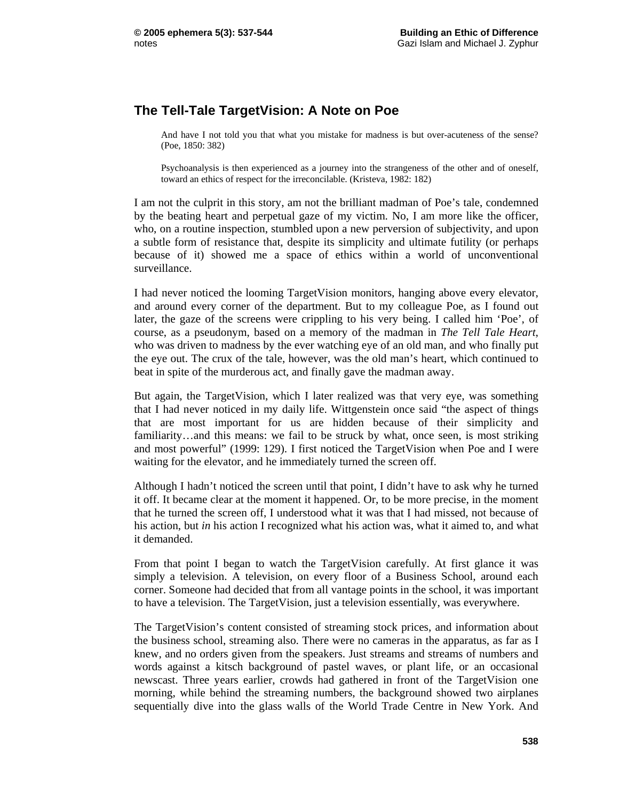## **The Tell-Tale TargetVision: A Note on Poe**

And have I not told you that what you mistake for madness is but over-acuteness of the sense? (Poe, 1850: 382)

Psychoanalysis is then experienced as a journey into the strangeness of the other and of oneself, toward an ethics of respect for the irreconcilable. (Kristeva, 1982: 182)

I am not the culprit in this story, am not the brilliant madman of Poe's tale, condemned by the beating heart and perpetual gaze of my victim. No, I am more like the officer, who, on a routine inspection, stumbled upon a new perversion of subjectivity, and upon a subtle form of resistance that, despite its simplicity and ultimate futility (or perhaps because of it) showed me a space of ethics within a world of unconventional surveillance.

I had never noticed the looming TargetVision monitors, hanging above every elevator, and around every corner of the department. But to my colleague Poe, as I found out later, the gaze of the screens were crippling to his very being. I called him 'Poe', of course, as a pseudonym, based on a memory of the madman in *The Tell Tale Heart*, who was driven to madness by the ever watching eye of an old man, and who finally put the eye out. The crux of the tale, however, was the old man's heart, which continued to beat in spite of the murderous act, and finally gave the madman away.

But again, the TargetVision, which I later realized was that very eye, was something that I had never noticed in my daily life. Wittgenstein once said "the aspect of things that are most important for us are hidden because of their simplicity and familiarity…and this means: we fail to be struck by what, once seen, is most striking and most powerful" (1999: 129). I first noticed the TargetVision when Poe and I were waiting for the elevator, and he immediately turned the screen off.

Although I hadn't noticed the screen until that point, I didn't have to ask why he turned it off. It became clear at the moment it happened. Or, to be more precise, in the moment that he turned the screen off, I understood what it was that I had missed, not because of his action, but *in* his action I recognized what his action was, what it aimed to, and what it demanded.

From that point I began to watch the TargetVision carefully. At first glance it was simply a television. A television, on every floor of a Business School, around each corner. Someone had decided that from all vantage points in the school, it was important to have a television. The TargetVision, just a television essentially, was everywhere.

The TargetVision's content consisted of streaming stock prices, and information about the business school, streaming also. There were no cameras in the apparatus, as far as I knew, and no orders given from the speakers. Just streams and streams of numbers and words against a kitsch background of pastel waves, or plant life, or an occasional newscast. Three years earlier, crowds had gathered in front of the TargetVision one morning, while behind the streaming numbers, the background showed two airplanes sequentially dive into the glass walls of the World Trade Centre in New York. And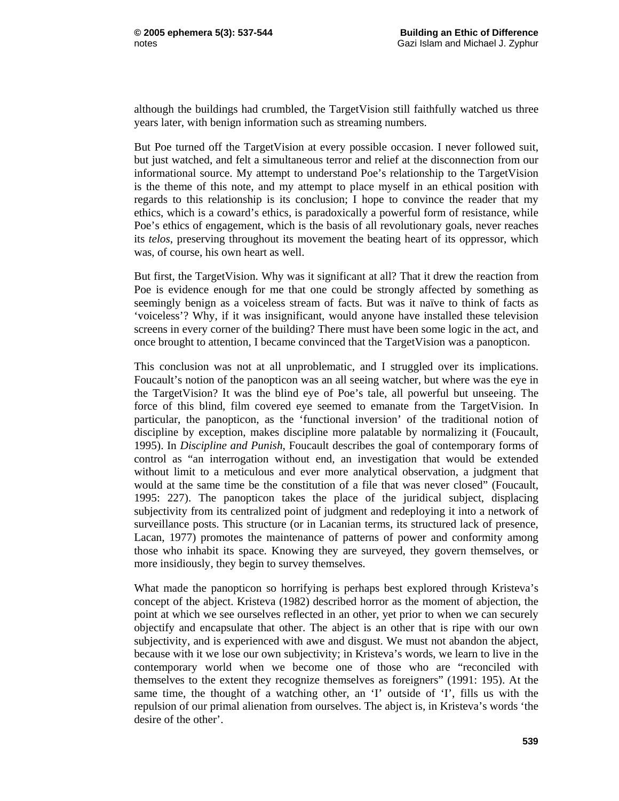although the buildings had crumbled, the TargetVision still faithfully watched us three years later, with benign information such as streaming numbers.

But Poe turned off the TargetVision at every possible occasion. I never followed suit, but just watched, and felt a simultaneous terror and relief at the disconnection from our informational source. My attempt to understand Poe's relationship to the TargetVision is the theme of this note, and my attempt to place myself in an ethical position with regards to this relationship is its conclusion; I hope to convince the reader that my ethics, which is a coward's ethics, is paradoxically a powerful form of resistance, while Poe's ethics of engagement, which is the basis of all revolutionary goals, never reaches its *telos*, preserving throughout its movement the beating heart of its oppressor, which was, of course, his own heart as well.

But first, the TargetVision. Why was it significant at all? That it drew the reaction from Poe is evidence enough for me that one could be strongly affected by something as seemingly benign as a voiceless stream of facts. But was it naïve to think of facts as 'voiceless'? Why, if it was insignificant, would anyone have installed these television screens in every corner of the building? There must have been some logic in the act, and once brought to attention, I became convinced that the TargetVision was a panopticon.

This conclusion was not at all unproblematic, and I struggled over its implications. Foucault's notion of the panopticon was an all seeing watcher, but where was the eye in the TargetVision? It was the blind eye of Poe's tale, all powerful but unseeing. The force of this blind, film covered eye seemed to emanate from the TargetVision. In particular, the panopticon, as the 'functional inversion' of the traditional notion of discipline by exception, makes discipline more palatable by normalizing it (Foucault, 1995). In *Discipline and Punish*, Foucault describes the goal of contemporary forms of control as "an interrogation without end, an investigation that would be extended without limit to a meticulous and ever more analytical observation, a judgment that would at the same time be the constitution of a file that was never closed" (Foucault, 1995: 227). The panopticon takes the place of the juridical subject, displacing subjectivity from its centralized point of judgment and redeploying it into a network of surveillance posts. This structure (or in Lacanian terms, its structured lack of presence, Lacan, 1977) promotes the maintenance of patterns of power and conformity among those who inhabit its space. Knowing they are surveyed, they govern themselves, or more insidiously, they begin to survey themselves.

What made the panopticon so horrifying is perhaps best explored through Kristeva's concept of the abject. Kristeva (1982) described horror as the moment of abjection, the point at which we see ourselves reflected in an other, yet prior to when we can securely objectify and encapsulate that other. The abject is an other that is ripe with our own subjectivity, and is experienced with awe and disgust. We must not abandon the abject, because with it we lose our own subjectivity; in Kristeva's words, we learn to live in the contemporary world when we become one of those who are "reconciled with themselves to the extent they recognize themselves as foreigners" (1991: 195). At the same time, the thought of a watching other, an 'I' outside of 'I', fills us with the repulsion of our primal alienation from ourselves. The abject is, in Kristeva's words 'the desire of the other'.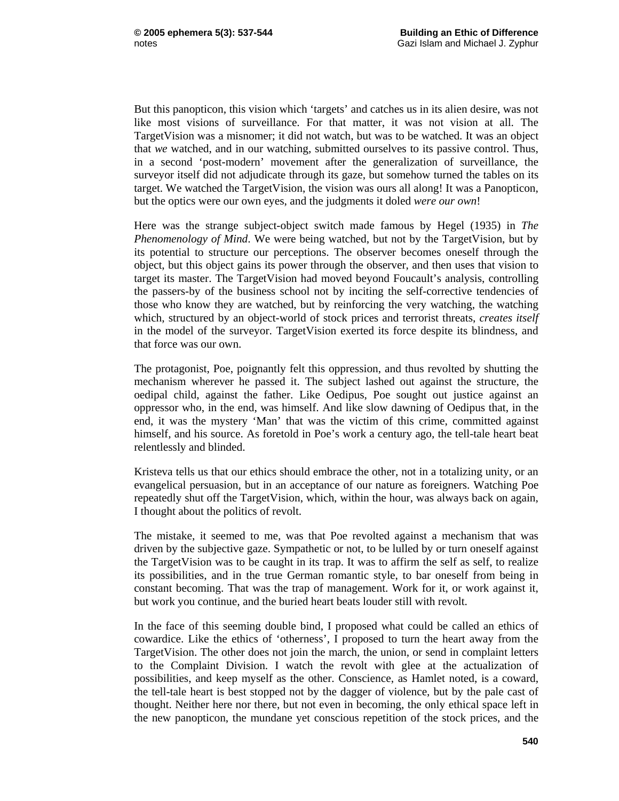But this panopticon, this vision which 'targets' and catches us in its alien desire, was not like most visions of surveillance. For that matter, it was not vision at all. The TargetVision was a misnomer; it did not watch, but was to be watched. It was an object that *we* watched, and in our watching, submitted ourselves to its passive control. Thus, in a second 'post-modern' movement after the generalization of surveillance, the surveyor itself did not adjudicate through its gaze, but somehow turned the tables on its target. We watched the TargetVision, the vision was ours all along! It was a Panopticon, but the optics were our own eyes, and the judgments it doled *were our own*!

Here was the strange subject-object switch made famous by Hegel (1935) in *The Phenomenology of Mind*. We were being watched, but not by the TargetVision, but by its potential to structure our perceptions. The observer becomes oneself through the object, but this object gains its power through the observer, and then uses that vision to target its master. The TargetVision had moved beyond Foucault's analysis, controlling the passers-by of the business school not by inciting the self-corrective tendencies of those who know they are watched, but by reinforcing the very watching, the watching which, structured by an object-world of stock prices and terrorist threats, *creates itself* in the model of the surveyor. TargetVision exerted its force despite its blindness, and that force was our own.

The protagonist, Poe, poignantly felt this oppression, and thus revolted by shutting the mechanism wherever he passed it. The subject lashed out against the structure, the oedipal child, against the father. Like Oedipus, Poe sought out justice against an oppressor who, in the end, was himself. And like slow dawning of Oedipus that, in the end, it was the mystery 'Man' that was the victim of this crime, committed against himself, and his source. As foretold in Poe's work a century ago, the tell-tale heart beat relentlessly and blinded.

Kristeva tells us that our ethics should embrace the other, not in a totalizing unity, or an evangelical persuasion, but in an acceptance of our nature as foreigners. Watching Poe repeatedly shut off the TargetVision, which, within the hour, was always back on again, I thought about the politics of revolt.

The mistake, it seemed to me, was that Poe revolted against a mechanism that was driven by the subjective gaze. Sympathetic or not, to be lulled by or turn oneself against the TargetVision was to be caught in its trap. It was to affirm the self as self, to realize its possibilities, and in the true German romantic style, to bar oneself from being in constant becoming. That was the trap of management. Work for it, or work against it, but work you continue, and the buried heart beats louder still with revolt.

In the face of this seeming double bind, I proposed what could be called an ethics of cowardice. Like the ethics of 'otherness', I proposed to turn the heart away from the TargetVision. The other does not join the march, the union, or send in complaint letters to the Complaint Division. I watch the revolt with glee at the actualization of possibilities, and keep myself as the other. Conscience, as Hamlet noted, is a coward, the tell-tale heart is best stopped not by the dagger of violence, but by the pale cast of thought. Neither here nor there, but not even in becoming, the only ethical space left in the new panopticon, the mundane yet conscious repetition of the stock prices, and the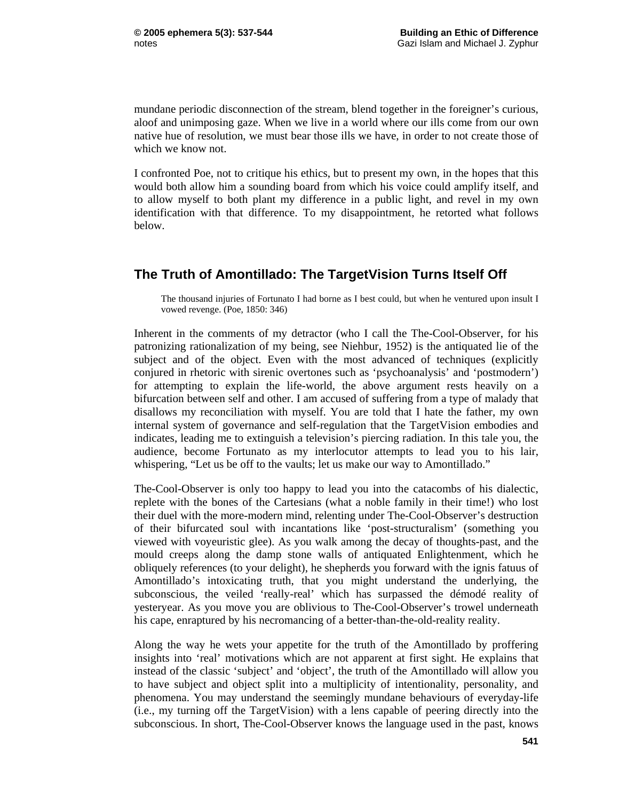mundane periodic disconnection of the stream, blend together in the foreigner's curious, aloof and unimposing gaze. When we live in a world where our ills come from our own native hue of resolution, we must bear those ills we have, in order to not create those of which we know not.

I confronted Poe, not to critique his ethics, but to present my own, in the hopes that this would both allow him a sounding board from which his voice could amplify itself, and to allow myself to both plant my difference in a public light, and revel in my own identification with that difference. To my disappointment, he retorted what follows below.

### **The Truth of Amontillado: The TargetVision Turns Itself Off**

The thousand injuries of Fortunato I had borne as I best could, but when he ventured upon insult I vowed revenge. (Poe, 1850: 346)

Inherent in the comments of my detractor (who I call the The-Cool-Observer, for his patronizing rationalization of my being, see Niehbur, 1952) is the antiquated lie of the subject and of the object. Even with the most advanced of techniques (explicitly conjured in rhetoric with sirenic overtones such as 'psychoanalysis' and 'postmodern') for attempting to explain the life-world, the above argument rests heavily on a bifurcation between self and other. I am accused of suffering from a type of malady that disallows my reconciliation with myself. You are told that I hate the father, my own internal system of governance and self-regulation that the TargetVision embodies and indicates, leading me to extinguish a television's piercing radiation. In this tale you, the audience, become Fortunato as my interlocutor attempts to lead you to his lair, whispering, "Let us be off to the vaults; let us make our way to Amontillado."

The-Cool-Observer is only too happy to lead you into the catacombs of his dialectic, replete with the bones of the Cartesians (what a noble family in their time!) who lost their duel with the more-modern mind, relenting under The-Cool-Observer's destruction of their bifurcated soul with incantations like 'post-structuralism' (something you viewed with voyeuristic glee). As you walk among the decay of thoughts-past, and the mould creeps along the damp stone walls of antiquated Enlightenment, which he obliquely references (to your delight), he shepherds you forward with the ignis fatuus of Amontillado's intoxicating truth, that you might understand the underlying, the subconscious, the veiled 'really-real' which has surpassed the démodé reality of yesteryear. As you move you are oblivious to The-Cool-Observer's trowel underneath his cape, enraptured by his necromancing of a better-than-the-old-reality reality.

Along the way he wets your appetite for the truth of the Amontillado by proffering insights into 'real' motivations which are not apparent at first sight. He explains that instead of the classic 'subject' and 'object', the truth of the Amontillado will allow you to have subject and object split into a multiplicity of intentionality, personality, and phenomena. You may understand the seemingly mundane behaviours of everyday-life (i.e., my turning off the TargetVision) with a lens capable of peering directly into the subconscious. In short, The-Cool-Observer knows the language used in the past, knows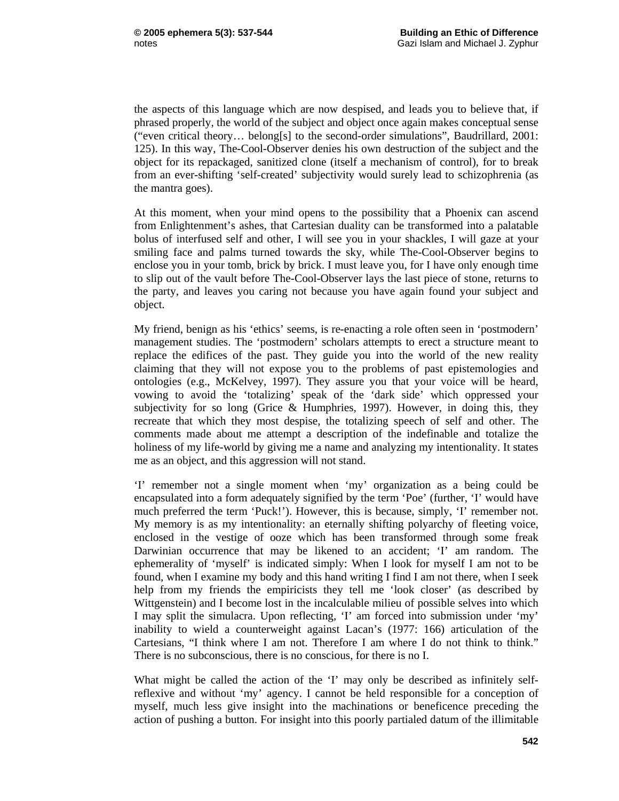the aspects of this language which are now despised, and leads you to believe that, if phrased properly, the world of the subject and object once again makes conceptual sense ("even critical theory… belong[s] to the second-order simulations", Baudrillard, 2001: 125). In this way, The-Cool-Observer denies his own destruction of the subject and the object for its repackaged, sanitized clone (itself a mechanism of control), for to break from an ever-shifting 'self-created' subjectivity would surely lead to schizophrenia (as the mantra goes).

At this moment, when your mind opens to the possibility that a Phoenix can ascend from Enlightenment's ashes, that Cartesian duality can be transformed into a palatable bolus of interfused self and other, I will see you in your shackles, I will gaze at your smiling face and palms turned towards the sky, while The-Cool-Observer begins to enclose you in your tomb, brick by brick. I must leave you, for I have only enough time to slip out of the vault before The-Cool-Observer lays the last piece of stone, returns to the party, and leaves you caring not because you have again found your subject and object.

My friend, benign as his 'ethics' seems, is re-enacting a role often seen in 'postmodern' management studies. The 'postmodern' scholars attempts to erect a structure meant to replace the edifices of the past. They guide you into the world of the new reality claiming that they will not expose you to the problems of past epistemologies and ontologies (e.g., McKelvey, 1997). They assure you that your voice will be heard, vowing to avoid the 'totalizing' speak of the 'dark side' which oppressed your subjectivity for so long (Grice  $\&$  Humphries, 1997). However, in doing this, they recreate that which they most despise, the totalizing speech of self and other. The comments made about me attempt a description of the indefinable and totalize the holiness of my life-world by giving me a name and analyzing my intentionality. It states me as an object, and this aggression will not stand.

'I' remember not a single moment when 'my' organization as a being could be encapsulated into a form adequately signified by the term 'Poe' (further, 'I' would have much preferred the term 'Puck!'). However, this is because, simply, 'I' remember not. My memory is as my intentionality: an eternally shifting polyarchy of fleeting voice, enclosed in the vestige of ooze which has been transformed through some freak Darwinian occurrence that may be likened to an accident; 'I' am random. The ephemerality of 'myself' is indicated simply: When I look for myself I am not to be found, when I examine my body and this hand writing I find I am not there, when I seek help from my friends the empiricists they tell me 'look closer' (as described by Wittgenstein) and I become lost in the incalculable milieu of possible selves into which I may split the simulacra. Upon reflecting, 'I' am forced into submission under 'my' inability to wield a counterweight against Lacan's (1977: 166) articulation of the Cartesians, "I think where I am not. Therefore I am where I do not think to think." There is no subconscious, there is no conscious, for there is no I.

What might be called the action of the 'I' may only be described as infinitely selfreflexive and without 'my' agency. I cannot be held responsible for a conception of myself, much less give insight into the machinations or beneficence preceding the action of pushing a button. For insight into this poorly partialed datum of the illimitable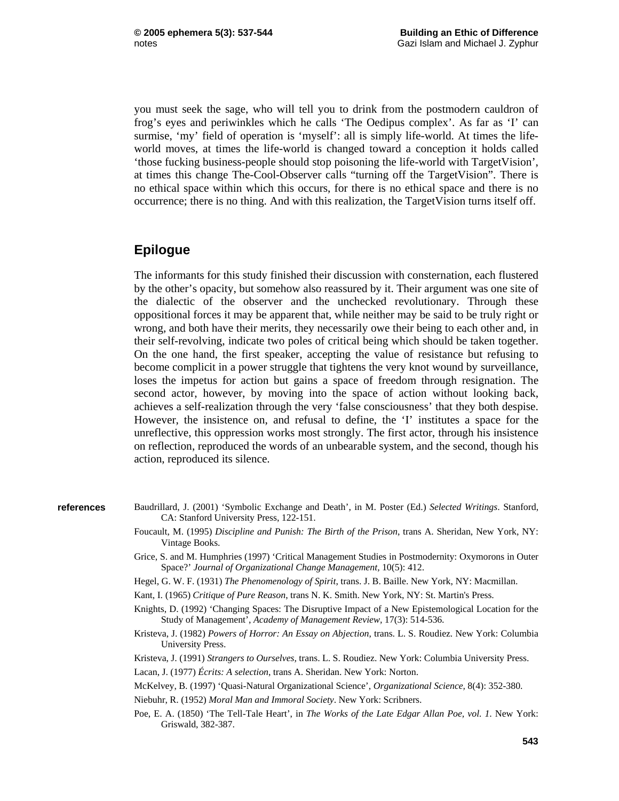you must seek the sage, who will tell you to drink from the postmodern cauldron of frog's eyes and periwinkles which he calls 'The Oedipus complex'. As far as 'I' can surmise, 'my' field of operation is 'myself': all is simply life-world. At times the lifeworld moves, at times the life-world is changed toward a conception it holds called 'those fucking business-people should stop poisoning the life-world with TargetVision', at times this change The-Cool-Observer calls "turning off the TargetVision". There is no ethical space within which this occurs, for there is no ethical space and there is no occurrence; there is no thing. And with this realization, the TargetVision turns itself off.

#### **Epilogue**

The informants for this study finished their discussion with consternation, each flustered by the other's opacity, but somehow also reassured by it. Their argument was one site of the dialectic of the observer and the unchecked revolutionary. Through these oppositional forces it may be apparent that, while neither may be said to be truly right or wrong, and both have their merits, they necessarily owe their being to each other and, in their self-revolving, indicate two poles of critical being which should be taken together. On the one hand, the first speaker, accepting the value of resistance but refusing to become complicit in a power struggle that tightens the very knot wound by surveillance, loses the impetus for action but gains a space of freedom through resignation. The second actor, however, by moving into the space of action without looking back, achieves a self-realization through the very 'false consciousness' that they both despise. However, the insistence on, and refusal to define, the 'I' institutes a space for the unreflective, this oppression works most strongly. The first actor, through his insistence on reflection, reproduced the words of an unbearable system, and the second, though his action, reproduced its silence.

#### **references**

- Baudrillard, J. (2001) 'Symbolic Exchange and Death', in M. Poster (Ed.) *Selected Writings*. Stanford, CA: Stanford University Press, 122-151.
	- Foucault, M. (1995) *Discipline and Punish: The Birth of the Prison*, trans A. Sheridan, New York, NY: Vintage Books.
	- Grice, S. and M. Humphries (1997) 'Critical Management Studies in Postmodernity: Oxymorons in Outer Space?' *Journal of Organizational Change Management,* 10(5): 412.
	- Hegel, G. W. F. (1931) *The Phenomenology of Spirit*, trans. J. B. Baille. New York, NY: Macmillan.
	- Kant, I. (1965) *Critique of Pure Reason*, trans N. K. Smith. New York, NY: St. Martin's Press.
	- Knights, D. (1992) 'Changing Spaces: The Disruptive Impact of a New Epistemological Location for the Study of Management', *Academy of Management Review,* 17(3): 514-536.
	- Kristeva, J. (1982) *Powers of Horror: An Essay on Abjection*, trans. L. S. Roudiez. New York: Columbia University Press.
	- Kristeva, J. (1991) *Strangers to Ourselves,* trans. L. S. Roudiez. New York: Columbia University Press.

Lacan, J. (1977) *Écrits: A selection*, trans A. Sheridan. New York: Norton.

McKelvey, B. (1997) 'Quasi-Natural Organizational Science', *Organizational Science,* 8(4): 352-380.

Niebuhr, R. (1952) *Moral Man and Immoral Society*. New York: Scribners.

Poe, E. A. (1850) 'The Tell-Tale Heart', in *The Works of the Late Edgar Allan Poe, vol. 1*. New York: Griswald, 382-387.